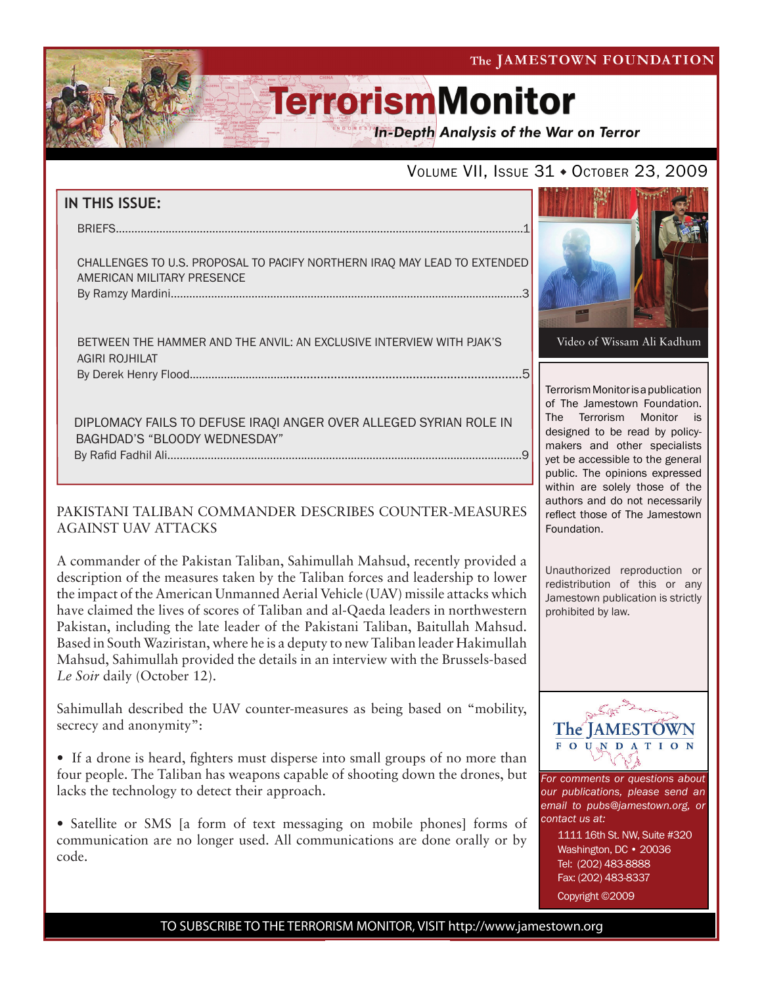The JAMESTOWN FOUNDATION

# **TerrorismMonitor**

**In-Depth Analysis of the War on Terror** 

### VOLUME VII, ISSUE 31 + OCTOBER 23, 2009

| IN THIS ISSUE:                                                                                         |                                                                     |
|--------------------------------------------------------------------------------------------------------|---------------------------------------------------------------------|
|                                                                                                        |                                                                     |
| CHALLENGES TO U.S. PROPOSAL TO PACIFY NORTHERN IRAQ MAY LEAD TO EXTENDED<br>AMERICAN MILITARY PRESENCE |                                                                     |
|                                                                                                        |                                                                     |
| BETWEEN THE HAMMER AND THE ANVIL: AN EXCLUSIVE INTERVIEW WITH PJAK'S<br>AGIRI ROJHILAT                 | Video                                                               |
|                                                                                                        |                                                                     |
| DIPLOMACY FAILS TO DEFUSE IRAQI ANGER OVER ALLEGED SYRIAN ROLE IN<br>BAGHDAD'S "BLOODY WEDNESDAY"      | <b>Terroris</b><br>of The<br>The T<br>designe<br>makers<br>vet he s |

### PAKISTANI TALIBAN COMMANDER DESCRIBES COUNTER-MEASURES AGAINST UAV ATTACKS

A commander of the Pakistan Taliban, Sahimullah Mahsud, recently provided a description of the measures taken by the Taliban forces and leadership to lower the impact of the American Unmanned Aerial Vehicle (UAV) missile attacks which have claimed the lives of scores of Taliban and al-Qaeda leaders in northwestern Pakistan, including the late leader of the Pakistani Taliban, Baitullah Mahsud. Based in South Waziristan, where he is a deputy to new Taliban leader Hakimullah Mahsud, Sahimullah provided the details in an interview with the Brussels-based *Le Soir* daily (October 12).

Sahimullah described the UAV counter-measures as being based on "mobility, secrecy and anonymity":

• If a drone is heard, fighters must disperse into small groups of no more than four people. The Taliban has weapons capable of shooting down the drones, but lacks the technology to detect their approach.

• Satellite or SMS [a form of text messaging on mobile phones] forms of communication are no longer used. All communications are done orally or by code.



m Monitor is a publication Jamestown Foundation. Terrorism Monitor is ed to be read by policyand other specialists yet be accessible to the general public. The opinions expressed within are solely those of the authors and do not necessarily reflect those of The Jamestown Foundation.

Unauthorized reproduction or redistribution of this or any Jamestown publication is strictly prohibited by law.



*For comments or questions about our publications, please send an email to pubs@jamestown.org, or contact us at:* 

> 1111 16th St. NW, Suite #320 Washington, DC • 20036 Tel: (202) 483-8888 Fax: (202) 483-8337 Copyright ©2009

TO SUBSCRIBE TO THE TERRORISM MONITOR, VISIT http://www.jamestown.org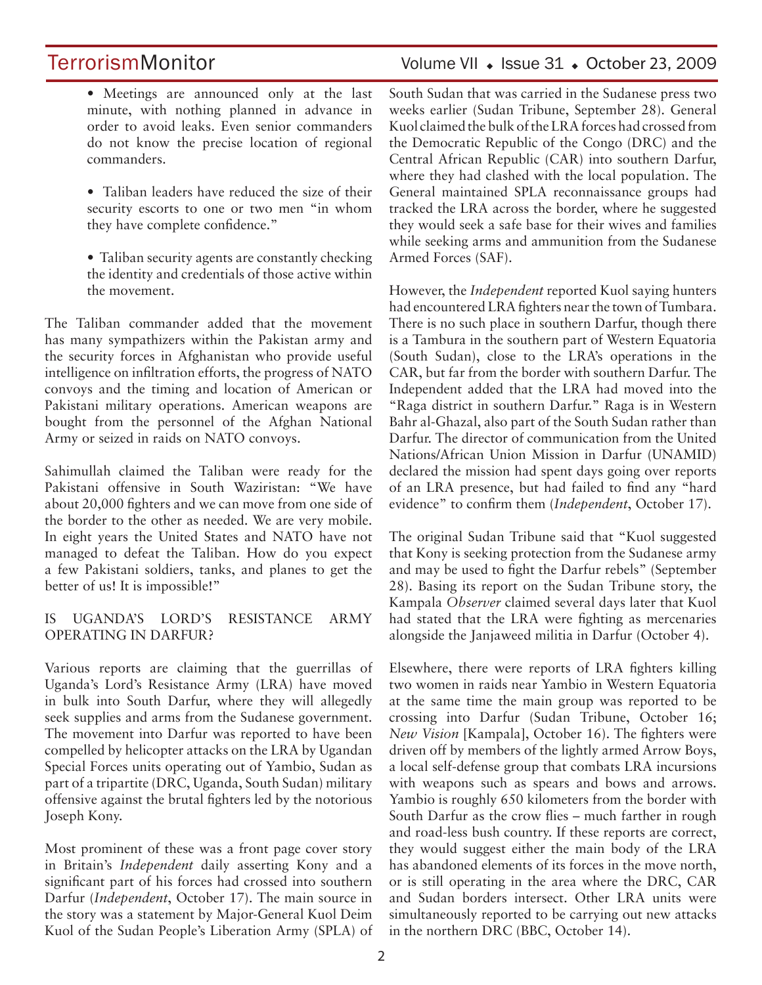### TerrorismMonitor Volume VII + Issue 31 + October 23, 2009

- Meetings are announced only at the last minute, with nothing planned in advance in order to avoid leaks. Even senior commanders do not know the precise location of regional commanders.
- Taliban leaders have reduced the size of their security escorts to one or two men "in whom they have complete confidence."
- Taliban security agents are constantly checking the identity and credentials of those active within the movement.

The Taliban commander added that the movement has many sympathizers within the Pakistan army and the security forces in Afghanistan who provide useful intelligence on infiltration efforts, the progress of NATO convoys and the timing and location of American or Pakistani military operations. American weapons are bought from the personnel of the Afghan National Army or seized in raids on NATO convoys.

Sahimullah claimed the Taliban were ready for the Pakistani offensive in South Waziristan: "We have about 20,000 fighters and we can move from one side of the border to the other as needed. We are very mobile. In eight years the United States and NATO have not managed to defeat the Taliban. How do you expect a few Pakistani soldiers, tanks, and planes to get the better of us! It is impossible!"

### IS UGANDA'S LORD'S RESISTANCE ARMY OPERATING IN DARFUR?

Various reports are claiming that the guerrillas of Uganda's Lord's Resistance Army (LRA) have moved in bulk into South Darfur, where they will allegedly seek supplies and arms from the Sudanese government. The movement into Darfur was reported to have been compelled by helicopter attacks on the LRA by Ugandan Special Forces units operating out of Yambio, Sudan as part of a tripartite (DRC, Uganda, South Sudan) military offensive against the brutal fighters led by the notorious Joseph Kony.

Most prominent of these was a front page cover story in Britain's *Independent* daily asserting Kony and a significant part of his forces had crossed into southern Darfur (*Independent*, October 17). The main source in the story was a statement by Major-General Kuol Deim Kuol of the Sudan People's Liberation Army (SPLA) of South Sudan that was carried in the Sudanese press two weeks earlier (Sudan Tribune, September 28). General Kuol claimed the bulk of the LRA forces had crossed from the Democratic Republic of the Congo (DRC) and the Central African Republic (CAR) into southern Darfur, where they had clashed with the local population. The General maintained SPLA reconnaissance groups had tracked the LRA across the border, where he suggested they would seek a safe base for their wives and families while seeking arms and ammunition from the Sudanese Armed Forces (SAF).

However, the *Independent* reported Kuol saying hunters had encountered LRA fighters near the town of Tumbara. There is no such place in southern Darfur, though there is a Tambura in the southern part of Western Equatoria (South Sudan), close to the LRA's operations in the CAR, but far from the border with southern Darfur. The Independent added that the LRA had moved into the "Raga district in southern Darfur." Raga is in Western Bahr al-Ghazal, also part of the South Sudan rather than Darfur. The director of communication from the United Nations/African Union Mission in Darfur (UNAMID) declared the mission had spent days going over reports of an LRA presence, but had failed to find any "hard evidence" to confirm them (*Independent*, October 17).

The original Sudan Tribune said that "Kuol suggested that Kony is seeking protection from the Sudanese army and may be used to fight the Darfur rebels" (September 28). Basing its report on the Sudan Tribune story, the Kampala *Observer* claimed several days later that Kuol had stated that the LRA were fighting as mercenaries alongside the Janjaweed militia in Darfur (October 4).

Elsewhere, there were reports of LRA fighters killing two women in raids near Yambio in Western Equatoria at the same time the main group was reported to be crossing into Darfur (Sudan Tribune, October 16; *New Vision* [Kampala], October 16). The fighters were driven off by members of the lightly armed Arrow Boys, a local self-defense group that combats LRA incursions with weapons such as spears and bows and arrows. Yambio is roughly 650 kilometers from the border with South Darfur as the crow flies – much farther in rough and road-less bush country. If these reports are correct, they would suggest either the main body of the LRA has abandoned elements of its forces in the move north, or is still operating in the area where the DRC, CAR and Sudan borders intersect. Other LRA units were simultaneously reported to be carrying out new attacks in the northern DRC (BBC, October 14).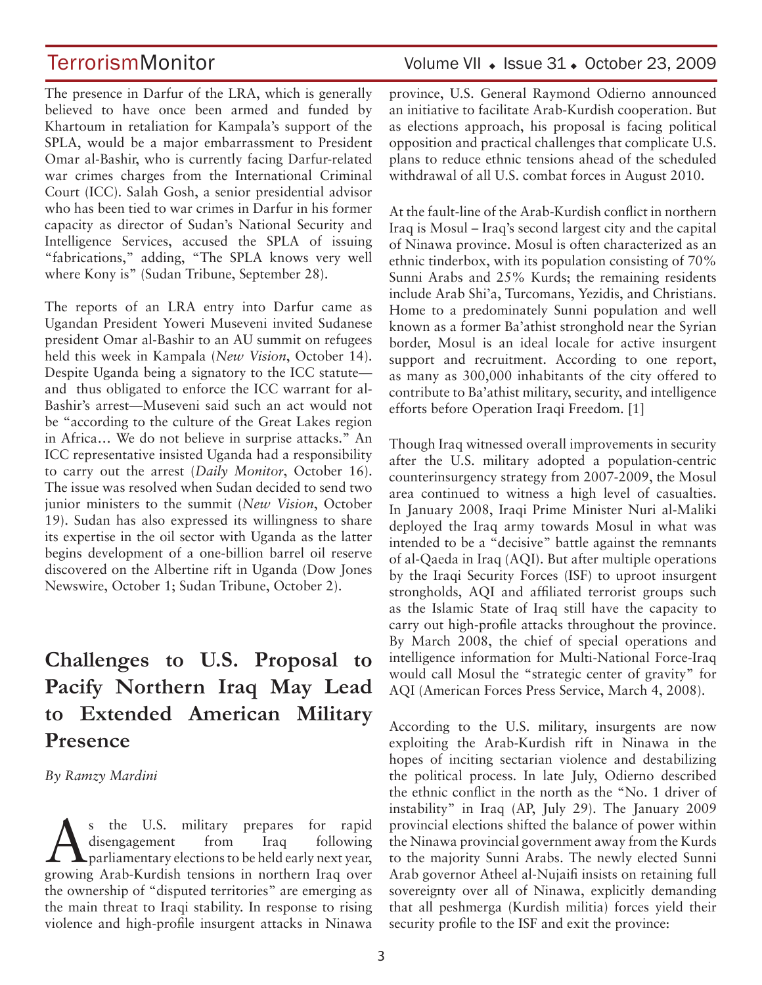The presence in Darfur of the LRA, which is generally believed to have once been armed and funded by Khartoum in retaliation for Kampala's support of the SPLA, would be a major embarrassment to President Omar al-Bashir, who is currently facing Darfur-related war crimes charges from the International Criminal Court (ICC). Salah Gosh, a senior presidential advisor who has been tied to war crimes in Darfur in his former capacity as director of Sudan's National Security and Intelligence Services, accused the SPLA of issuing "fabrications," adding, "The SPLA knows very well where Kony is" (Sudan Tribune, September 28).

The reports of an LRA entry into Darfur came as Ugandan President Yoweri Museveni invited Sudanese president Omar al-Bashir to an AU summit on refugees held this week in Kampala (*New Vision*, October 14). Despite Uganda being a signatory to the ICC statute and thus obligated to enforce the ICC warrant for al-Bashir's arrest—Museveni said such an act would not be "according to the culture of the Great Lakes region in Africa… We do not believe in surprise attacks." An ICC representative insisted Uganda had a responsibility to carry out the arrest (*Daily Monitor*, October 16). The issue was resolved when Sudan decided to send two junior ministers to the summit (*New Vision*, October 19). Sudan has also expressed its willingness to share its expertise in the oil sector with Uganda as the latter begins development of a one-billion barrel oil reserve discovered on the Albertine rift in Uganda (Dow Jones Newswire, October 1; Sudan Tribune, October 2).

# **Challenges to U.S. Proposal to Pacify Northern Iraq May Lead to Extended American Military Presence**

*By Ramzy Mardini* 

As the U.S. military prepares for rapid<br>disengagement from Iraq following<br>parliamentary elections to be held early next year, disengagement from Iraq following parliamentary elections to be held early next year, growing Arab-Kurdish tensions in northern Iraq over the ownership of "disputed territories" are emerging as the main threat to Iraqi stability. In response to rising violence and high-profile insurgent attacks in Ninawa

### TerrorismMonitor Volume VII + Issue 31 + October 23, 2009

province, U.S. General Raymond Odierno announced an initiative to facilitate Arab-Kurdish cooperation. But as elections approach, his proposal is facing political opposition and practical challenges that complicate U.S. plans to reduce ethnic tensions ahead of the scheduled withdrawal of all U.S. combat forces in August 2010.

At the fault-line of the Arab-Kurdish conflict in northern Iraq is Mosul – Iraq's second largest city and the capital of Ninawa province. Mosul is often characterized as an ethnic tinderbox, with its population consisting of 70% Sunni Arabs and 25% Kurds; the remaining residents include Arab Shi'a, Turcomans, Yezidis, and Christians. Home to a predominately Sunni population and well known as a former Ba'athist stronghold near the Syrian border, Mosul is an ideal locale for active insurgent support and recruitment. According to one report, as many as 300,000 inhabitants of the city offered to contribute to Ba'athist military, security, and intelligence efforts before Operation Iraqi Freedom. [1]

Though Iraq witnessed overall improvements in security after the U.S. military adopted a population-centric counterinsurgency strategy from 2007-2009, the Mosul area continued to witness a high level of casualties. In January 2008, Iraqi Prime Minister Nuri al-Maliki deployed the Iraq army towards Mosul in what was intended to be a "decisive" battle against the remnants of al-Qaeda in Iraq (AQI). But after multiple operations by the Iraqi Security Forces (ISF) to uproot insurgent strongholds, AQI and affiliated terrorist groups such as the Islamic State of Iraq still have the capacity to carry out high-profile attacks throughout the province. By March 2008, the chief of special operations and intelligence information for Multi-National Force-Iraq would call Mosul the "strategic center of gravity" for AQI (American Forces Press Service, March 4, 2008).

According to the U.S. military, insurgents are now exploiting the Arab-Kurdish rift in Ninawa in the hopes of inciting sectarian violence and destabilizing the political process. In late July, Odierno described the ethnic conflict in the north as the "No. 1 driver of instability" in Iraq (AP, July 29). The January 2009 provincial elections shifted the balance of power within the Ninawa provincial government away from the Kurds to the majority Sunni Arabs. The newly elected Sunni Arab governor Atheel al-Nujaifi insists on retaining full sovereignty over all of Ninawa, explicitly demanding that all peshmerga (Kurdish militia) forces yield their security profile to the ISF and exit the province: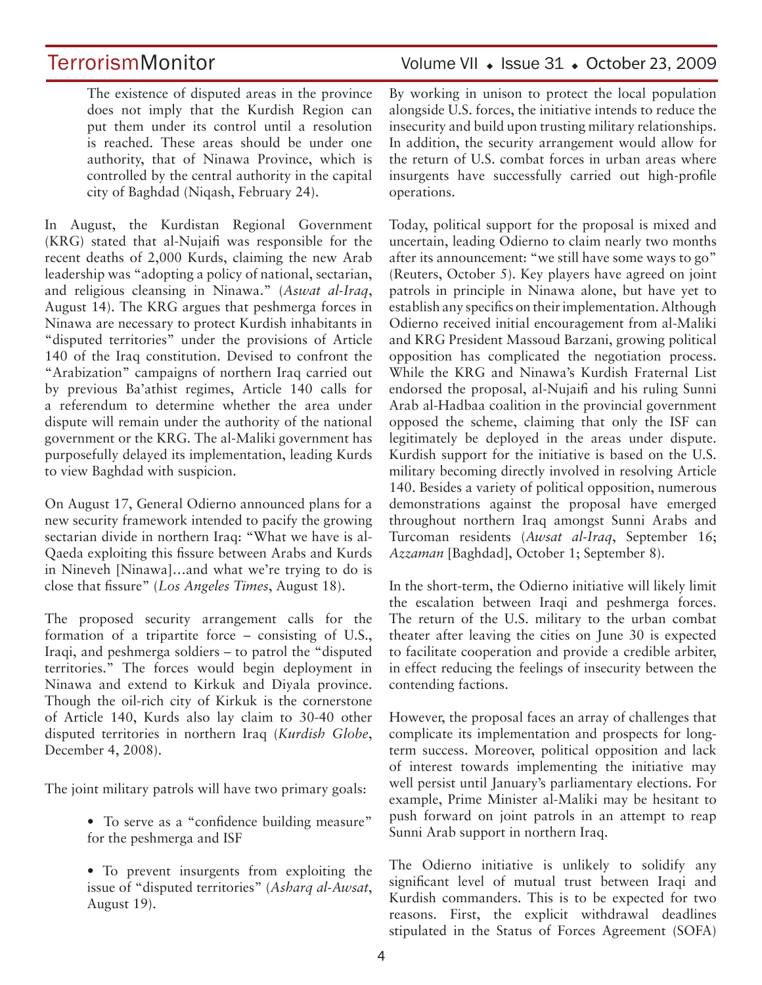The existence of disputed areas in the province does not imply that the Kurdish Region can put them under its control until a resolution is reached. These areas should be under one authority, that of Ninawa Province, which is controlled by the central authority in the capital city of Baghdad (Niqash, February 24).

In August, the Kurdistan Regional Government (KRG) stated that al-Nujaifi was responsible for the recent deaths of 2,000 Kurds, claiming the new Arab leadership was "adopting a policy of national, sectarian, and religious cleansing in Ninawa." (*Aswat al-Iraq*, August 14). The KRG argues that peshmerga forces in Ninawa are necessary to protect Kurdish inhabitants in "disputed territories" under the provisions of Article 140 of the Iraq constitution. Devised to confront the "Arabization" campaigns of northern Iraq carried out by previous Ba'athist regimes, Article 140 calls for a referendum to determine whether the area under dispute will remain under the authority of the national government or the KRG. The al-Maliki government has purposefully delayed its implementation, leading Kurds to view Baghdad with suspicion.

On August 17, General Odierno announced plans for a new security framework intended to pacify the growing sectarian divide in northern Iraq: "What we have is al-Qaeda exploiting this fissure between Arabs and Kurds in Nineveh [Ninawa]…and what we're trying to do is close that fissure" (*Los Angeles Times*, August 18).

The proposed security arrangement calls for the formation of a tripartite force – consisting of U.S., Iraqi, and peshmerga soldiers – to patrol the "disputed territories." The forces would begin deployment in Ninawa and extend to Kirkuk and Diyala province. Though the oil-rich city of Kirkuk is the cornerstone of Article 140, Kurds also lay claim to 30-40 other disputed territories in northern Iraq (*Kurdish Globe*, December 4, 2008).

The joint military patrols will have two primary goals:

- To serve as a "confidence building measure" for the peshmerga and ISF
- To prevent insurgents from exploiting the issue of "disputed territories" (*Asharq al-Awsat*, August 19).

TerrorismMonitor Volume VII • Issue 31 • October 23, 2009

By working in unison to protect the local population alongside U.S. forces, the initiative intends to reduce the insecurity and build upon trusting military relationships. In addition, the security arrangement would allow for the return of U.S. combat forces in urban areas where insurgents have successfully carried out high-profile operations.

Today, political support for the proposal is mixed and uncertain, leading Odierno to claim nearly two months after its announcement: "we still have some ways to go" (Reuters, October 5). Key players have agreed on joint patrols in principle in Ninawa alone, but have yet to establish any specifics on their implementation. Although Odierno received initial encouragement from al-Maliki and KRG President Massoud Barzani, growing political opposition has complicated the negotiation process. While the KRG and Ninawa's Kurdish Fraternal List endorsed the proposal, al-Nujaifi and his ruling Sunni Arab al-Hadbaa coalition in the provincial government opposed the scheme, claiming that only the ISF can legitimately be deployed in the areas under dispute. Kurdish support for the initiative is based on the U.S. military becoming directly involved in resolving Article 140. Besides a variety of political opposition, numerous demonstrations against the proposal have emerged throughout northern Iraq amongst Sunni Arabs and Turcoman residents (*Awsat al-Iraq*, September 16; *Azzaman* [Baghdad], October 1; September 8).

In the short-term, the Odierno initiative will likely limit the escalation between Iraqi and peshmerga forces. The return of the U.S. military to the urban combat theater after leaving the cities on June 30 is expected to facilitate cooperation and provide a credible arbiter, in effect reducing the feelings of insecurity between the contending factions.

However, the proposal faces an array of challenges that complicate its implementation and prospects for longterm success. Moreover, political opposition and lack of interest towards implementing the initiative may well persist until January's parliamentary elections. For example, Prime Minister al-Maliki may be hesitant to push forward on joint patrols in an attempt to reap Sunni Arab support in northern Iraq.

The Odierno initiative is unlikely to solidify any significant level of mutual trust between Iraqi and Kurdish commanders. This is to be expected for two reasons. First, the explicit withdrawal deadlines stipulated in the Status of Forces Agreement (SOFA)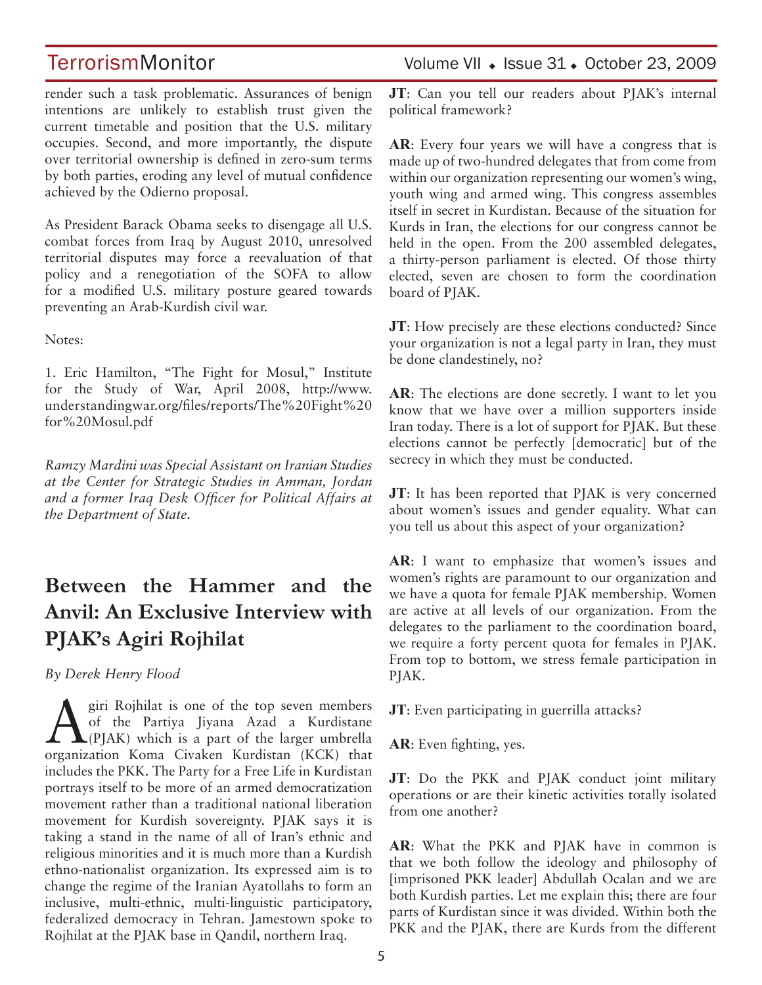render such a task problematic. Assurances of benign intentions are unlikely to establish trust given the current timetable and position that the U.S. military occupies. Second, and more importantly, the dispute over territorial ownership is defined in zero-sum terms by both parties, eroding any level of mutual confidence achieved by the Odierno proposal.

As President Barack Obama seeks to disengage all U.S. combat forces from Iraq by August 2010, unresolved territorial disputes may force a reevaluation of that policy and a renegotiation of the SOFA to allow for a modified U.S. military posture geared towards preventing an Arab-Kurdish civil war.

Notes:

1. Eric Hamilton, "The Fight for Mosul," Institute for the Study of War, April 2008, http://www. understandingwar.org/files/reports/The%20Fight%20 for%20Mosul.pdf

*Ramzy Mardini was Special Assistant on Iranian Studies at the Center for Strategic Studies in Amman, Jordan and a former Iraq Desk Officer for Political Affairs at the Department of State.*

# **Between the Hammer and the Anvil: An Exclusive Interview with PJAK's Agiri Rojhilat**

*By Derek Henry Flood* 

 $\sum_{\text{eff}}$  giri Rojhilat is one of the top seven members<br>of the Partiya Jiyana Azad a Kurdistane<br>(PJAK) which is a part of the larger umbrella of the Partiya Jiyana Azad a Kurdistane  $\triangle$   $\triangle$  (PJAK) which is a part of the larger umbrella organization Koma Civaken Kurdistan (KCK) that includes the PKK. The Party for a Free Life in Kurdistan portrays itself to be more of an armed democratization movement rather than a traditional national liberation movement for Kurdish sovereignty. PJAK says it is taking a stand in the name of all of Iran's ethnic and religious minorities and it is much more than a Kurdish ethno-nationalist organization. Its expressed aim is to change the regime of the Iranian Ayatollahs to form an inclusive, multi-ethnic, multi-linguistic participatory, federalized democracy in Tehran. Jamestown spoke to Rojhilat at the PJAK base in Qandil, northern Iraq.

## TerrorismMonitor Volume VII + Issue 31 + October 23, 2009

**JT**: Can you tell our readers about PJAK's internal political framework?

**AR**: Every four years we will have a congress that is made up of two-hundred delegates that from come from within our organization representing our women's wing, youth wing and armed wing. This congress assembles itself in secret in Kurdistan. Because of the situation for Kurds in Iran, the elections for our congress cannot be held in the open. From the 200 assembled delegates, a thirty-person parliament is elected. Of those thirty elected, seven are chosen to form the coordination board of PJAK.

**JT**: How precisely are these elections conducted? Since your organization is not a legal party in Iran, they must be done clandestinely, no?

**AR**: The elections are done secretly. I want to let you know that we have over a million supporters inside Iran today. There is a lot of support for PJAK. But these elections cannot be perfectly [democratic] but of the secrecy in which they must be conducted.

**JT**: It has been reported that PJAK is very concerned about women's issues and gender equality. What can you tell us about this aspect of your organization?

**AR**: I want to emphasize that women's issues and women's rights are paramount to our organization and we have a quota for female PJAK membership. Women are active at all levels of our organization. From the delegates to the parliament to the coordination board, we require a forty percent quota for females in PJAK. From top to bottom, we stress female participation in PJAK.

**JT**: Even participating in guerrilla attacks?

**AR**: Even fighting, yes.

**JT**: Do the PKK and PJAK conduct joint military operations or are their kinetic activities totally isolated from one another?

**AR**: What the PKK and PJAK have in common is that we both follow the ideology and philosophy of [imprisoned PKK leader] Abdullah Ocalan and we are both Kurdish parties. Let me explain this; there are four parts of Kurdistan since it was divided. Within both the PKK and the PJAK, there are Kurds from the different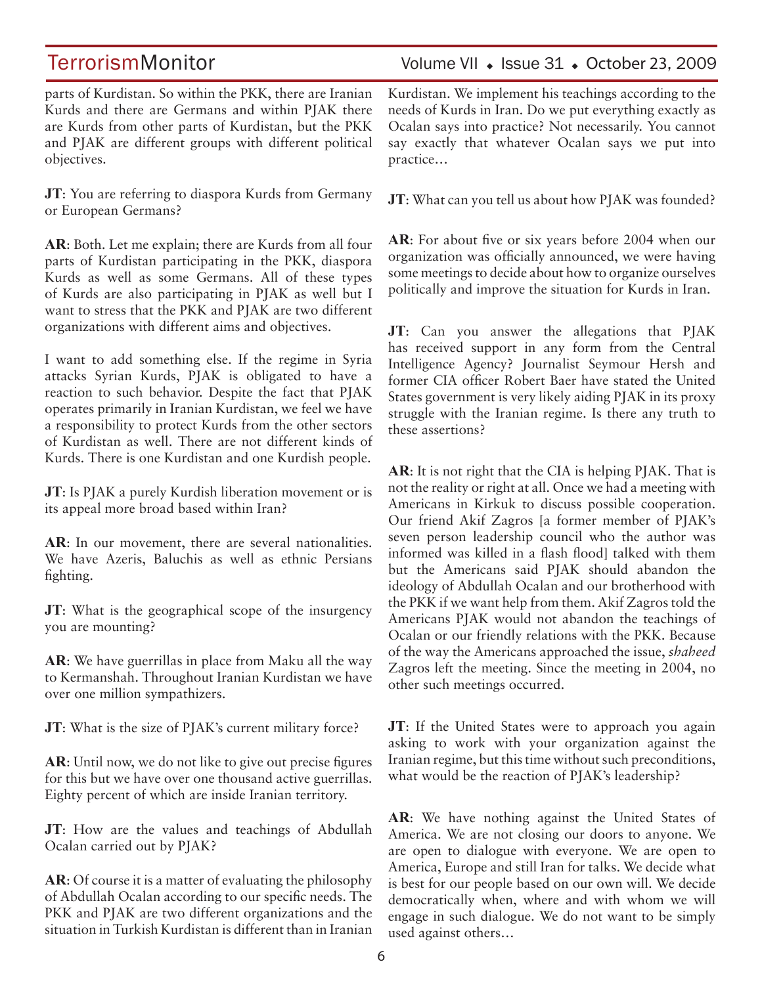parts of Kurdistan. So within the PKK, there are Iranian Kurds and there are Germans and within PJAK there are Kurds from other parts of Kurdistan, but the PKK and PJAK are different groups with different political objectives.

**JT**: You are referring to diaspora Kurds from Germany or European Germans?

**AR**: Both. Let me explain; there are Kurds from all four parts of Kurdistan participating in the PKK, diaspora Kurds as well as some Germans. All of these types of Kurds are also participating in PJAK as well but I want to stress that the PKK and PJAK are two different organizations with different aims and objectives.

I want to add something else. If the regime in Syria attacks Syrian Kurds, PJAK is obligated to have a reaction to such behavior. Despite the fact that PJAK operates primarily in Iranian Kurdistan, we feel we have a responsibility to protect Kurds from the other sectors of Kurdistan as well. There are not different kinds of Kurds. There is one Kurdistan and one Kurdish people.

**JT**: Is PJAK a purely Kurdish liberation movement or is its appeal more broad based within Iran?

AR: In our movement, there are several nationalities. We have Azeris, Baluchis as well as ethnic Persians fighting.

**JT**: What is the geographical scope of the insurgency you are mounting?

**AR**: We have guerrillas in place from Maku all the way to Kermanshah. Throughout Iranian Kurdistan we have over one million sympathizers.

**JT**: What is the size of PJAK's current military force?

**AR**: Until now, we do not like to give out precise figures for this but we have over one thousand active guerrillas. Eighty percent of which are inside Iranian territory.

**JT**: How are the values and teachings of Abdullah Ocalan carried out by PJAK?

**AR**: Of course it is a matter of evaluating the philosophy of Abdullah Ocalan according to our specific needs. The PKK and PJAK are two different organizations and the situation in Turkish Kurdistan is different than in Iranian Kurdistan. We implement his teachings according to the needs of Kurds in Iran. Do we put everything exactly as Ocalan says into practice? Not necessarily. You cannot say exactly that whatever Ocalan says we put into practice…

**JT**: What can you tell us about how PJAK was founded?

**AR**: For about five or six years before 2004 when our organization was officially announced, we were having some meetings to decide about how to organize ourselves politically and improve the situation for Kurds in Iran.

**JT**: Can you answer the allegations that PJAK has received support in any form from the Central Intelligence Agency? Journalist Seymour Hersh and former CIA officer Robert Baer have stated the United States government is very likely aiding PJAK in its proxy struggle with the Iranian regime. Is there any truth to these assertions?

**AR**: It is not right that the CIA is helping PJAK. That is not the reality or right at all. Once we had a meeting with Americans in Kirkuk to discuss possible cooperation. Our friend Akif Zagros [a former member of PJAK's seven person leadership council who the author was informed was killed in a flash flood] talked with them but the Americans said PJAK should abandon the ideology of Abdullah Ocalan and our brotherhood with the PKK if we want help from them. Akif Zagros told the Americans PJAK would not abandon the teachings of Ocalan or our friendly relations with the PKK. Because of the way the Americans approached the issue, *shaheed* Zagros left the meeting. Since the meeting in 2004, no other such meetings occurred.

**JT**: If the United States were to approach you again asking to work with your organization against the Iranian regime, but this time without such preconditions, what would be the reaction of PJAK's leadership?

**AR**: We have nothing against the United States of America. We are not closing our doors to anyone. We are open to dialogue with everyone. We are open to America, Europe and still Iran for talks. We decide what is best for our people based on our own will. We decide democratically when, where and with whom we will engage in such dialogue. We do not want to be simply used against others…

### TerrorismMonitor Volume VII • Issue 31 • October 23, 2009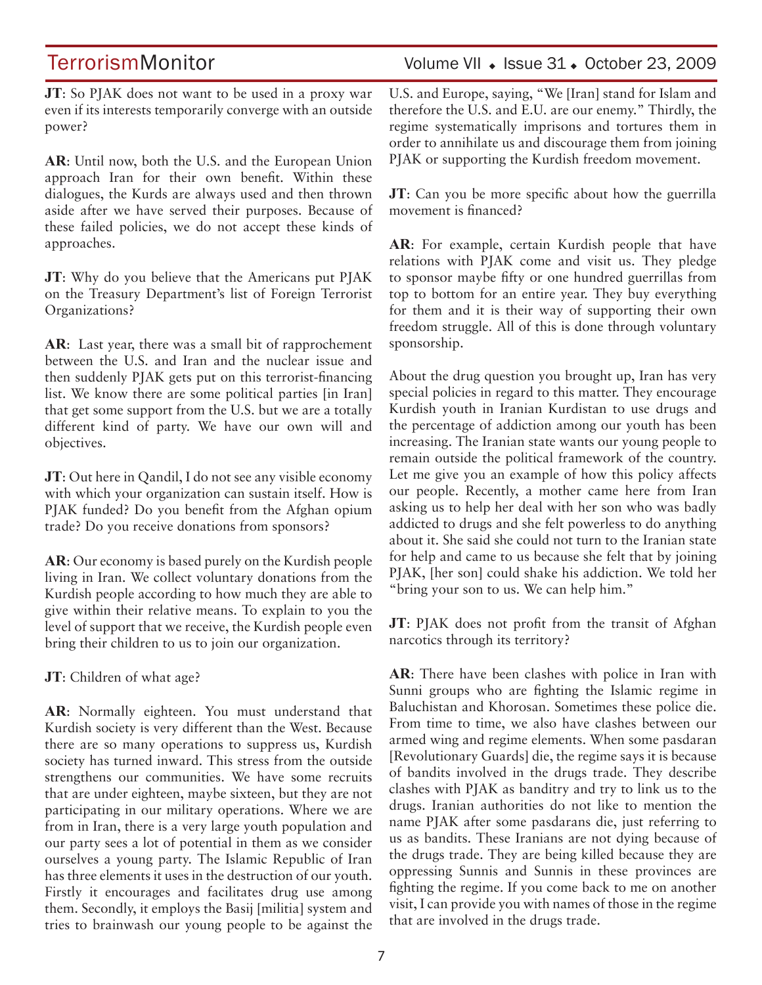TerrorismMonitor Volume VII + Issue 31 + October 23, 2009

**JT**: So PJAK does not want to be used in a proxy war even if its interests temporarily converge with an outside power?

**AR**: Until now, both the U.S. and the European Union approach Iran for their own benefit. Within these dialogues, the Kurds are always used and then thrown aside after we have served their purposes. Because of these failed policies, we do not accept these kinds of approaches.

**JT**: Why do you believe that the Americans put PJAK on the Treasury Department's list of Foreign Terrorist Organizations?

**AR**: Last year, there was a small bit of rapprochement between the U.S. and Iran and the nuclear issue and then suddenly PJAK gets put on this terrorist-financing list. We know there are some political parties [in Iran] that get some support from the U.S. but we are a totally different kind of party. We have our own will and objectives.

**JT**: Out here in Qandil, I do not see any visible economy with which your organization can sustain itself. How is PJAK funded? Do you benefit from the Afghan opium trade? Do you receive donations from sponsors?

**AR**: Our economy is based purely on the Kurdish people living in Iran. We collect voluntary donations from the Kurdish people according to how much they are able to give within their relative means. To explain to you the level of support that we receive, the Kurdish people even bring their children to us to join our organization.

**JT**: Children of what age?

**AR**: Normally eighteen. You must understand that Kurdish society is very different than the West. Because there are so many operations to suppress us, Kurdish society has turned inward. This stress from the outside strengthens our communities. We have some recruits that are under eighteen, maybe sixteen, but they are not participating in our military operations. Where we are from in Iran, there is a very large youth population and our party sees a lot of potential in them as we consider ourselves a young party. The Islamic Republic of Iran has three elements it uses in the destruction of our youth. Firstly it encourages and facilitates drug use among them. Secondly, it employs the Basij [militia] system and tries to brainwash our young people to be against the U.S. and Europe, saying, "We [Iran] stand for Islam and therefore the U.S. and E.U. are our enemy." Thirdly, the regime systematically imprisons and tortures them in order to annihilate us and discourage them from joining PJAK or supporting the Kurdish freedom movement.

**JT**: Can you be more specific about how the guerrilla movement is financed?

**AR**: For example, certain Kurdish people that have relations with PJAK come and visit us. They pledge to sponsor maybe fifty or one hundred guerrillas from top to bottom for an entire year. They buy everything for them and it is their way of supporting their own freedom struggle. All of this is done through voluntary sponsorship.

About the drug question you brought up, Iran has very special policies in regard to this matter. They encourage Kurdish youth in Iranian Kurdistan to use drugs and the percentage of addiction among our youth has been increasing. The Iranian state wants our young people to remain outside the political framework of the country. Let me give you an example of how this policy affects our people. Recently, a mother came here from Iran asking us to help her deal with her son who was badly addicted to drugs and she felt powerless to do anything about it. She said she could not turn to the Iranian state for help and came to us because she felt that by joining PJAK, [her son] could shake his addiction. We told her "bring your son to us. We can help him."

**JT**: PJAK does not profit from the transit of Afghan narcotics through its territory?

**AR**: There have been clashes with police in Iran with Sunni groups who are fighting the Islamic regime in Baluchistan and Khorosan. Sometimes these police die. From time to time, we also have clashes between our armed wing and regime elements. When some pasdaran [Revolutionary Guards] die, the regime says it is because of bandits involved in the drugs trade. They describe clashes with PJAK as banditry and try to link us to the drugs. Iranian authorities do not like to mention the name PJAK after some pasdarans die, just referring to us as bandits. These Iranians are not dying because of the drugs trade. They are being killed because they are oppressing Sunnis and Sunnis in these provinces are fighting the regime. If you come back to me on another visit, I can provide you with names of those in the regime that are involved in the drugs trade.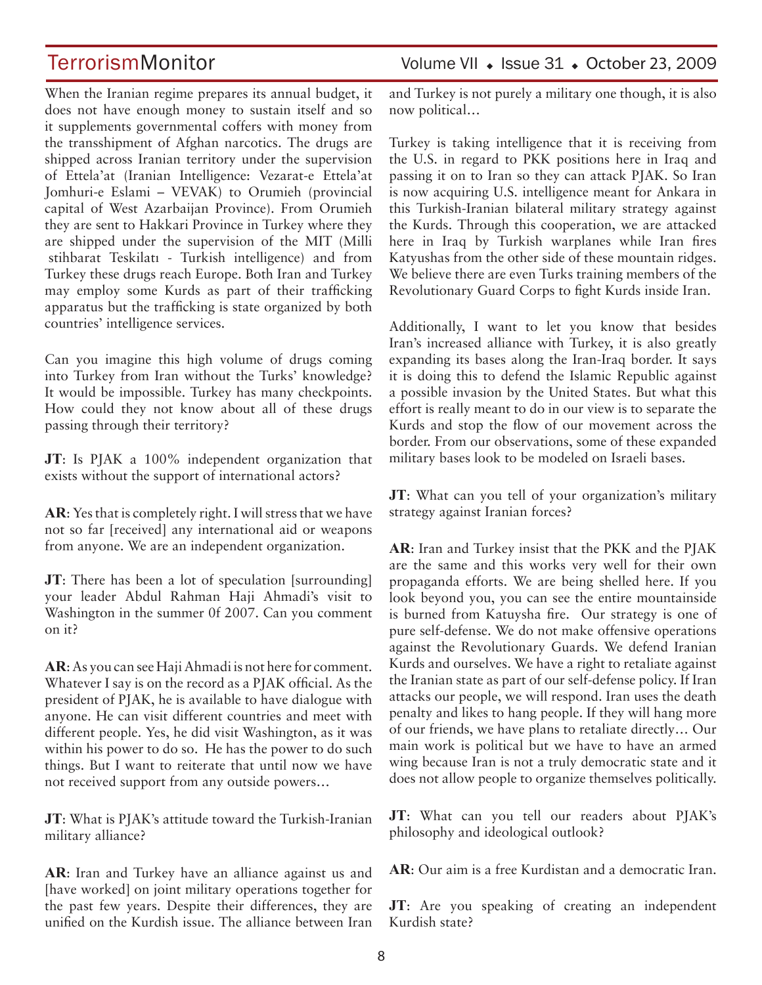When the Iranian regime prepares its annual budget, it does not have enough money to sustain itself and so it supplements governmental coffers with money from the transshipment of Afghan narcotics. The drugs are shipped across Iranian territory under the supervision of Ettela'at (Iranian Intelligence: Vezarat-e Ettela'at Jomhuri-e Eslami – VEVAK) to Orumieh (provincial capital of West Azarbaijan Province). From Orumieh they are sent to Hakkari Province in Turkey where they are shipped under the supervision of the MIT (Milli İstihbarat Teskilatı - Turkish intelligence) and from Turkey these drugs reach Europe. Both Iran and Turkey may employ some Kurds as part of their trafficking apparatus but the trafficking is state organized by both countries' intelligence services.

Can you imagine this high volume of drugs coming into Turkey from Iran without the Turks' knowledge? It would be impossible. Turkey has many checkpoints. How could they not know about all of these drugs passing through their territory?

**JT**: Is PJAK a 100% independent organization that exists without the support of international actors?

**AR**: Yes that is completely right. I will stress that we have not so far [received] any international aid or weapons from anyone. We are an independent organization.

**JT**: There has been a lot of speculation [surrounding] your leader Abdul Rahman Haji Ahmadi's visit to Washington in the summer 0f 2007. Can you comment on it?

**AR**: As you can see Haji Ahmadi is not here for comment. Whatever I say is on the record as a PJAK official. As the president of PJAK, he is available to have dialogue with anyone. He can visit different countries and meet with different people. Yes, he did visit Washington, as it was within his power to do so. He has the power to do such things. But I want to reiterate that until now we have not received support from any outside powers…

**JT**: What is PJAK's attitude toward the Turkish-Iranian military alliance?

**AR**: Iran and Turkey have an alliance against us and [have worked] on joint military operations together for the past few years. Despite their differences, they are unified on the Kurdish issue. The alliance between Iran

### TerrorismMonitor Volume VII • Issue 31 • October 23, 2009

and Turkey is not purely a military one though, it is also now political…

Turkey is taking intelligence that it is receiving from the U.S. in regard to PKK positions here in Iraq and passing it on to Iran so they can attack PJAK. So Iran is now acquiring U.S. intelligence meant for Ankara in this Turkish-Iranian bilateral military strategy against the Kurds. Through this cooperation, we are attacked here in Iraq by Turkish warplanes while Iran fires Katyushas from the other side of these mountain ridges. We believe there are even Turks training members of the Revolutionary Guard Corps to fight Kurds inside Iran.

Additionally, I want to let you know that besides Iran's increased alliance with Turkey, it is also greatly expanding its bases along the Iran-Iraq border. It says it is doing this to defend the Islamic Republic against a possible invasion by the United States. But what this effort is really meant to do in our view is to separate the Kurds and stop the flow of our movement across the border. From our observations, some of these expanded military bases look to be modeled on Israeli bases.

**JT**: What can you tell of your organization's military strategy against Iranian forces?

**AR**: Iran and Turkey insist that the PKK and the PJAK are the same and this works very well for their own propaganda efforts. We are being shelled here. If you look beyond you, you can see the entire mountainside is burned from Katuysha fire. Our strategy is one of pure self-defense. We do not make offensive operations against the Revolutionary Guards. We defend Iranian Kurds and ourselves. We have a right to retaliate against the Iranian state as part of our self-defense policy. If Iran attacks our people, we will respond. Iran uses the death penalty and likes to hang people. If they will hang more of our friends, we have plans to retaliate directly… Our main work is political but we have to have an armed wing because Iran is not a truly democratic state and it does not allow people to organize themselves politically.

**JT**: What can you tell our readers about PJAK's philosophy and ideological outlook?

**AR**: Our aim is a free Kurdistan and a democratic Iran.

**JT**: Are you speaking of creating an independent Kurdish state?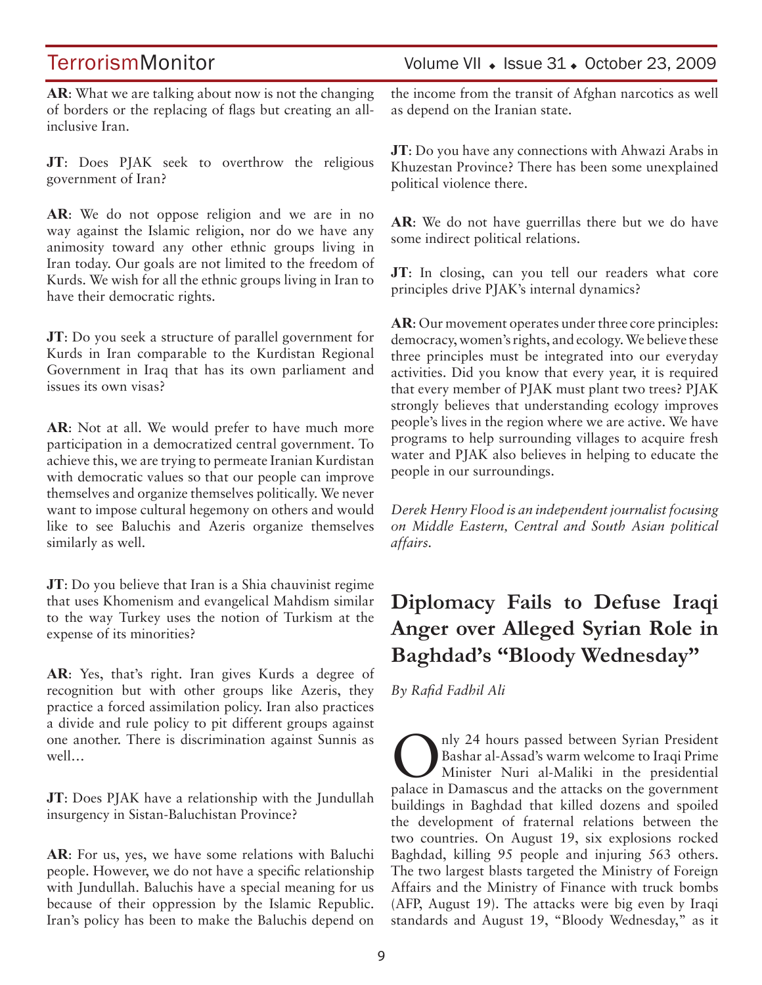**AR**: What we are talking about now is not the changing of borders or the replacing of flags but creating an allinclusive Iran.

**JT**: Does PJAK seek to overthrow the religious government of Iran?

**AR**: We do not oppose religion and we are in no way against the Islamic religion, nor do we have any animosity toward any other ethnic groups living in Iran today. Our goals are not limited to the freedom of Kurds. We wish for all the ethnic groups living in Iran to have their democratic rights.

**JT**: Do you seek a structure of parallel government for Kurds in Iran comparable to the Kurdistan Regional Government in Iraq that has its own parliament and issues its own visas?

**AR**: Not at all. We would prefer to have much more participation in a democratized central government. To achieve this, we are trying to permeate Iranian Kurdistan with democratic values so that our people can improve themselves and organize themselves politically. We never want to impose cultural hegemony on others and would like to see Baluchis and Azeris organize themselves similarly as well.

**JT**: Do you believe that Iran is a Shia chauvinist regime that uses Khomenism and evangelical Mahdism similar to the way Turkey uses the notion of Turkism at the expense of its minorities?

**AR**: Yes, that's right. Iran gives Kurds a degree of recognition but with other groups like Azeris, they practice a forced assimilation policy. Iran also practices a divide and rule policy to pit different groups against one another. There is discrimination against Sunnis as well…

**JT**: Does PJAK have a relationship with the Jundullah insurgency in Sistan-Baluchistan Province?

**AR**: For us, yes, we have some relations with Baluchi people. However, we do not have a specific relationship with Jundullah. Baluchis have a special meaning for us because of their oppression by the Islamic Republic. Iran's policy has been to make the Baluchis depend on

## TerrorismMonitor Volume VII + Issue 31 + October 23, 2009

the income from the transit of Afghan narcotics as well as depend on the Iranian state.

**JT**: Do you have any connections with Ahwazi Arabs in Khuzestan Province? There has been some unexplained political violence there.

**AR**: We do not have guerrillas there but we do have some indirect political relations.

**JT**: In closing, can you tell our readers what core principles drive PJAK's internal dynamics?

**AR**: Our movement operates under three core principles: democracy, women's rights, and ecology. We believe these three principles must be integrated into our everyday activities. Did you know that every year, it is required that every member of PJAK must plant two trees? PJAK strongly believes that understanding ecology improves people's lives in the region where we are active. We have programs to help surrounding villages to acquire fresh water and PJAK also believes in helping to educate the people in our surroundings.

*Derek Henry Flood is an independent journalist focusing on Middle Eastern, Central and South Asian political affairs.*

# **Diplomacy Fails to Defuse Iraqi Anger over Alleged Syrian Role in Baghdad's "Bloody Wednesday"**

*By Rafid Fadhil Ali* 

Only 24 hours passed between Syrian President<br>Bashar al-Assad's warm welcome to Iraqi Prime<br>Minister Nuri al-Maliki in the presidential Bashar al-Assad's warm welcome to Iraqi Prime Minister Nuri al-Maliki in the presidential palace in Damascus and the attacks on the government buildings in Baghdad that killed dozens and spoiled the development of fraternal relations between the two countries. On August 19, six explosions rocked Baghdad, killing 95 people and injuring 563 others. The two largest blasts targeted the Ministry of Foreign Affairs and the Ministry of Finance with truck bombs (AFP, August 19). The attacks were big even by Iraqi standards and August 19, "Bloody Wednesday," as it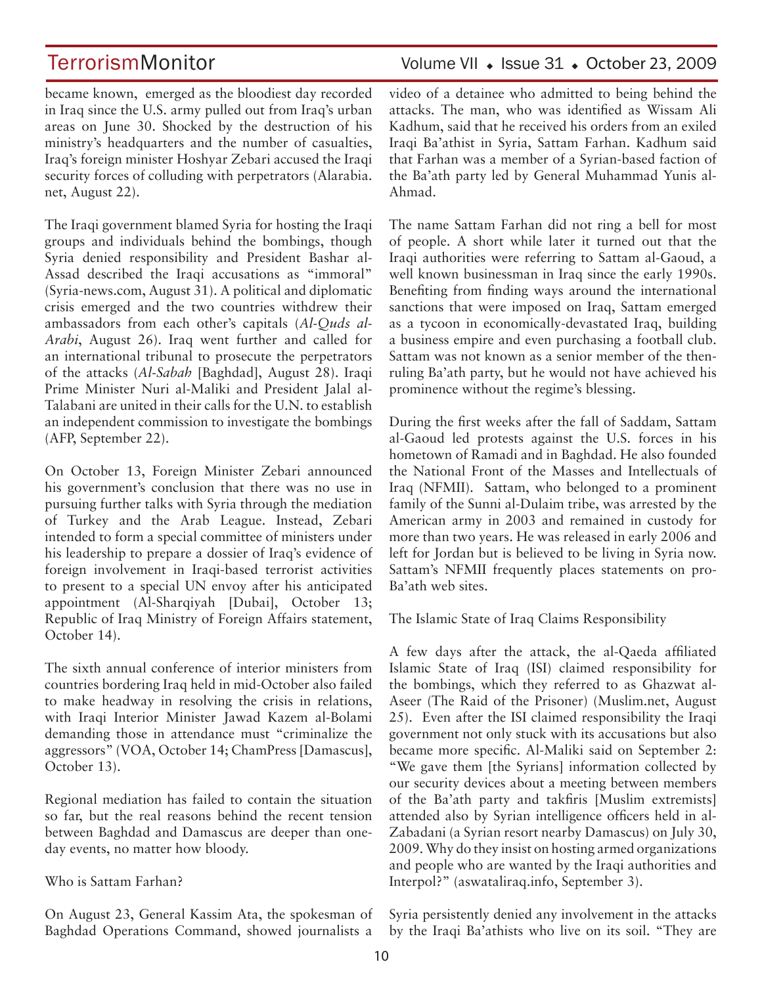TerrorismMonitor Volume VII + Issue 31 + October 23, 2009

became known, emerged as the bloodiest day recorded in Iraq since the U.S. army pulled out from Iraq's urban areas on June 30. Shocked by the destruction of his ministry's headquarters and the number of casualties, Iraq's foreign minister Hoshyar Zebari accused the Iraqi security forces of colluding with perpetrators (Alarabia. net, August 22).

The Iraqi government blamed Syria for hosting the Iraqi groups and individuals behind the bombings, though Syria denied responsibility and President Bashar al-Assad described the Iraqi accusations as "immoral" (Syria-news.com, August 31). A political and diplomatic crisis emerged and the two countries withdrew their ambassadors from each other's capitals (*Al-Quds al-Arabi*, August 26). Iraq went further and called for an international tribunal to prosecute the perpetrators of the attacks (*Al-Sabah* [Baghdad], August 28). Iraqi Prime Minister Nuri al-Maliki and President Jalal al-Talabani are united in their calls for the U.N. to establish an independent commission to investigate the bombings (AFP, September 22).

On October 13, Foreign Minister Zebari announced his government's conclusion that there was no use in pursuing further talks with Syria through the mediation of Turkey and the Arab League. Instead, Zebari intended to form a special committee of ministers under his leadership to prepare a dossier of Iraq's evidence of foreign involvement in Iraqi-based terrorist activities to present to a special UN envoy after his anticipated appointment (Al-Sharqiyah [Dubai], October 13; Republic of Iraq Ministry of Foreign Affairs statement, October 14).

The sixth annual conference of interior ministers from countries bordering Iraq held in mid-October also failed to make headway in resolving the crisis in relations, with Iraqi Interior Minister Jawad Kazem al-Bolami demanding those in attendance must "criminalize the aggressors" (VOA, October 14; ChamPress [Damascus], October 13).

Regional mediation has failed to contain the situation so far, but the real reasons behind the recent tension between Baghdad and Damascus are deeper than oneday events, no matter how bloody.

### Who is Sattam Farhan?

On August 23, General Kassim Ata, the spokesman of Baghdad Operations Command, showed journalists a

video of a detainee who admitted to being behind the attacks. The man, who was identified as Wissam Ali Kadhum, said that he received his orders from an exiled Iraqi Ba'athist in Syria, Sattam Farhan. Kadhum said that Farhan was a member of a Syrian-based faction of the Ba'ath party led by General Muhammad Yunis al-Ahmad.

The name Sattam Farhan did not ring a bell for most of people. A short while later it turned out that the Iraqi authorities were referring to Sattam al-Gaoud, a well known businessman in Iraq since the early 1990s. Benefiting from finding ways around the international sanctions that were imposed on Iraq, Sattam emerged as a tycoon in economically-devastated Iraq, building a business empire and even purchasing a football club. Sattam was not known as a senior member of the thenruling Ba'ath party, but he would not have achieved his prominence without the regime's blessing.

During the first weeks after the fall of Saddam, Sattam al-Gaoud led protests against the U.S. forces in his hometown of Ramadi and in Baghdad. He also founded the National Front of the Masses and Intellectuals of Iraq (NFMII). Sattam, who belonged to a prominent family of the Sunni al-Dulaim tribe, was arrested by the American army in 2003 and remained in custody for more than two years. He was released in early 2006 and left for Jordan but is believed to be living in Syria now. Sattam's NFMII frequently places statements on pro-Ba'ath web sites.

The Islamic State of Iraq Claims Responsibility

A few days after the attack, the al-Qaeda affiliated Islamic State of Iraq (ISI) claimed responsibility for the bombings, which they referred to as Ghazwat al-Aseer (The Raid of the Prisoner) (Muslim.net, August 25). Even after the ISI claimed responsibility the Iraqi government not only stuck with its accusations but also became more specific. Al-Maliki said on September 2: "We gave them [the Syrians] information collected by our security devices about a meeting between members of the Ba'ath party and takfiris [Muslim extremists] attended also by Syrian intelligence officers held in al-Zabadani (a Syrian resort nearby Damascus) on July 30, 2009. Why do they insist on hosting armed organizations and people who are wanted by the Iraqi authorities and Interpol?" (aswataliraq.info, September 3).

Syria persistently denied any involvement in the attacks by the Iraqi Ba'athists who live on its soil. "They are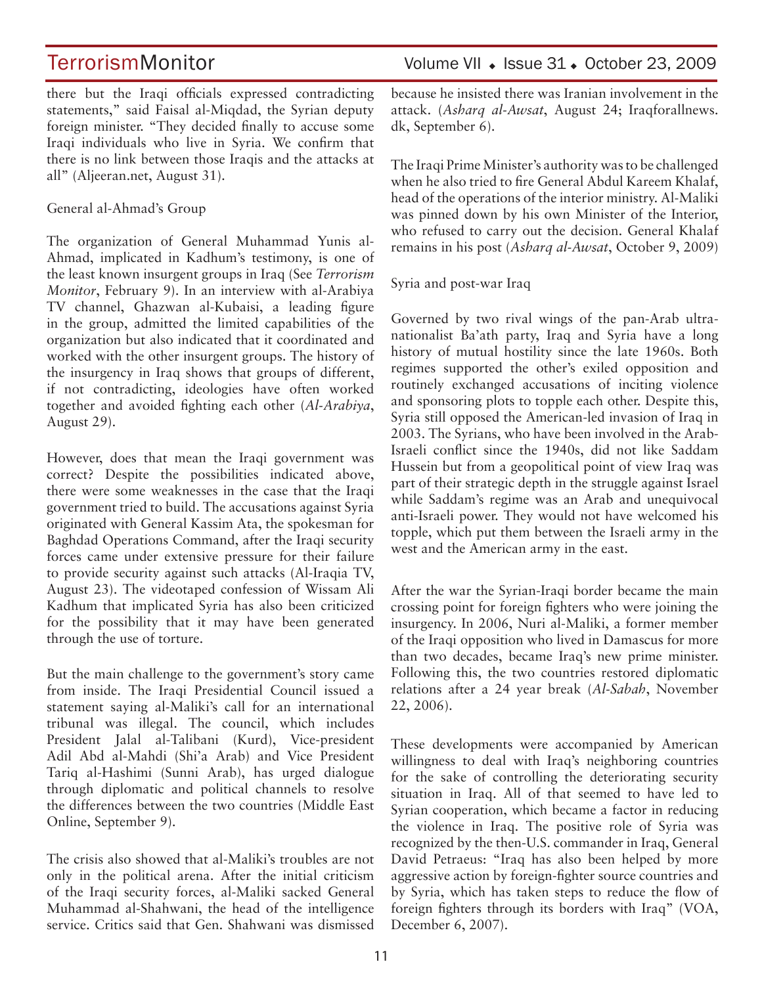there but the Iraqi officials expressed contradicting statements," said Faisal al-Miqdad, the Syrian deputy foreign minister. "They decided finally to accuse some Iraqi individuals who live in Syria. We confirm that there is no link between those Iraqis and the attacks at all" (Aljeeran.net, August 31).

General al-Ahmad's Group

The organization of General Muhammad Yunis al-Ahmad, implicated in Kadhum's testimony, is one of the least known insurgent groups in Iraq (See *Terrorism Monitor*, February 9). In an interview with al-Arabiya TV channel, Ghazwan al-Kubaisi, a leading figure in the group, admitted the limited capabilities of the organization but also indicated that it coordinated and worked with the other insurgent groups. The history of the insurgency in Iraq shows that groups of different, if not contradicting, ideologies have often worked together and avoided fighting each other (*Al-Arabiya*, August 29).

However, does that mean the Iraqi government was correct? Despite the possibilities indicated above, there were some weaknesses in the case that the Iraqi government tried to build. The accusations against Syria originated with General Kassim Ata, the spokesman for Baghdad Operations Command, after the Iraqi security forces came under extensive pressure for their failure to provide security against such attacks (Al-Iraqia TV, August 23). The videotaped confession of Wissam Ali Kadhum that implicated Syria has also been criticized for the possibility that it may have been generated through the use of torture.

But the main challenge to the government's story came from inside. The Iraqi Presidential Council issued a statement saying al-Maliki's call for an international tribunal was illegal. The council, which includes President Jalal al-Talibani (Kurd), Vice-president Adil Abd al-Mahdi (Shi'a Arab) and Vice President Tariq al-Hashimi (Sunni Arab), has urged dialogue through diplomatic and political channels to resolve the differences between the two countries (Middle East Online, September 9).

The crisis also showed that al-Maliki's troubles are not only in the political arena. After the initial criticism of the Iraqi security forces, al-Maliki sacked General Muhammad al-Shahwani, the head of the intelligence service. Critics said that Gen. Shahwani was dismissed

TerrorismMonitor Volume VII + Issue 31 + October 23, 2009

because he insisted there was Iranian involvement in the attack. (*Asharq al-Awsat*, August 24; Iraqforallnews. dk, September 6).

The Iraqi Prime Minister's authority was to be challenged when he also tried to fire General Abdul Kareem Khalaf, head of the operations of the interior ministry. Al-Maliki was pinned down by his own Minister of the Interior, who refused to carry out the decision. General Khalaf remains in his post (*Asharq al-Awsat*, October 9, 2009)

Syria and post-war Iraq

Governed by two rival wings of the pan-Arab ultranationalist Ba'ath party, Iraq and Syria have a long history of mutual hostility since the late 1960s. Both regimes supported the other's exiled opposition and routinely exchanged accusations of inciting violence and sponsoring plots to topple each other. Despite this, Syria still opposed the American-led invasion of Iraq in 2003. The Syrians, who have been involved in the Arab-Israeli conflict since the 1940s, did not like Saddam Hussein but from a geopolitical point of view Iraq was part of their strategic depth in the struggle against Israel while Saddam's regime was an Arab and unequivocal anti-Israeli power. They would not have welcomed his topple, which put them between the Israeli army in the west and the American army in the east.

After the war the Syrian-Iraqi border became the main crossing point for foreign fighters who were joining the insurgency. In 2006, Nuri al-Maliki, a former member of the Iraqi opposition who lived in Damascus for more than two decades, became Iraq's new prime minister. Following this, the two countries restored diplomatic relations after a 24 year break (*Al-Sabah*, November 22, 2006).

These developments were accompanied by American willingness to deal with Iraq's neighboring countries for the sake of controlling the deteriorating security situation in Iraq. All of that seemed to have led to Syrian cooperation, which became a factor in reducing the violence in Iraq. The positive role of Syria was recognized by the then-U.S. commander in Iraq, General David Petraeus: "Iraq has also been helped by more aggressive action by foreign-fighter source countries and by Syria, which has taken steps to reduce the flow of foreign fighters through its borders with Iraq" (VOA, December 6, 2007).